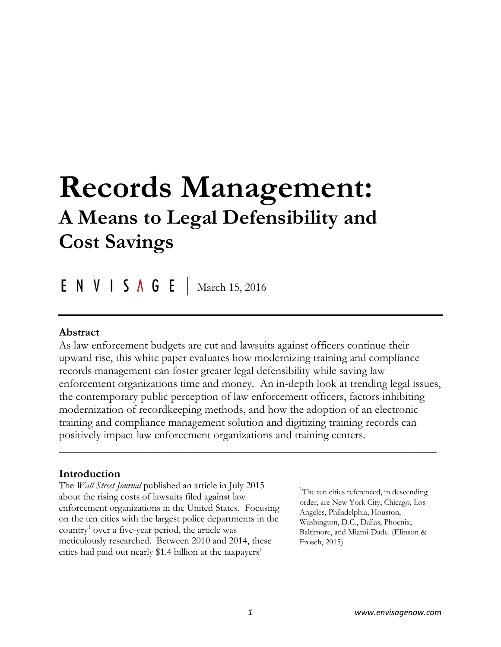# **Records Management: A Means to Legal Defensibility and Cost Savings**

ENVISAGE March 15, 2016

### **Abstract**

As law enforcement budgets are cut and lawsuits against officers continue their upward rise, this white paper evaluates how modernizing training and compliance records management can foster greater legal defensibility while saving law enforcement organizations time and money. An in-depth look at trending legal issues, the contemporary public perception of law enforcement officers, factors inhibiting modernization of recordkeeping methods, and how the adoption of an electronic training and compliance management solution and digitizing training records can positively impact law enforcement organizations and training centers.

 $\overline{\phantom{a}}$  , and the contract of the contract of the contract of the contract of the contract of the contract of the contract of the contract of the contract of the contract of the contract of the contract of the contrac

### **Introduction**

The *Wall Street Journal* published an article in July 2015 about the rising costs of lawsuits filed against law enforcement organizations in the United States. Focusing on the ten cities with the largest police departments in the country<sup>1</sup> over a five-year period, the article was meticulously researched. Between 2010 and 2014, these cities had paid out nearly \$1.4 billion at the taxpayers'

<sup>1</sup>The ten cities referenced, in descending order, are New York City, Chicago, Los Angeles, Philadelphia, Houston, Washington, D.C., Dallas, Phoenix, Baltimore, and Miami-Dade. (Elinson & Frosch, 2015)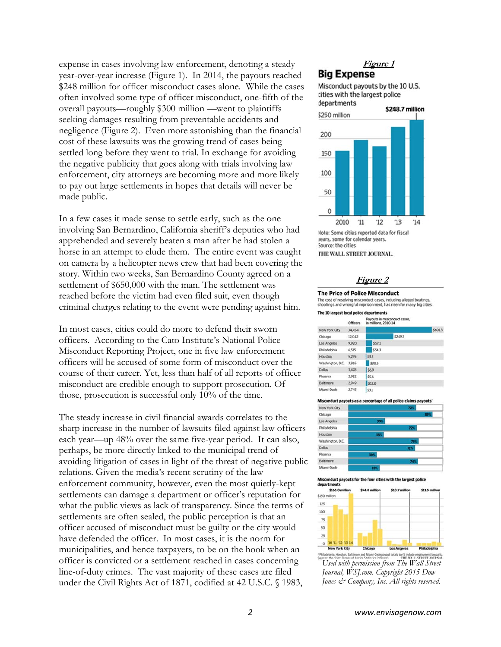expense in cases involving law enforcement, denoting a steady year-over-year increase (Figure 1). In 2014, the payouts reached \$248 million for officer misconduct cases alone. While the cases often involved some type of officer misconduct, one-fifth of the overall payouts—roughly \$300 million —went to plaintiffs seeking damages resulting from preventable accidents and negligence (Figure 2). Even more astonishing than the financial cost of these lawsuits was the growing trend of cases being settled long before they went to trial. In exchange for avoiding the negative publicity that goes along with trials involving law enforcement, city attorneys are becoming more and more likely to pay out large settlements in hopes that details will never be made public.

In a few cases it made sense to settle early, such as the one involving San Bernardino, California sheriff's deputies who had apprehended and severely beaten a man after he had stolen a horse in an attempt to elude them. The entire event was caught on camera by a helicopter news crew that had been covering the story. Within two weeks, San Bernardino County agreed on a settlement of \$650,000 with the man. The settlement was reached before the victim had even filed suit, even though criminal charges relating to the event were pending against him.

In most cases, cities could do more to defend their sworn officers. According to the Cato Institute's National Police Misconduct Reporting Project, one in five law enforcement officers will be accused of some form of misconduct over the course of their career. Yet, less than half of all reports of officer misconduct are credible enough to support prosecution. Of those, prosecution is successful only 10% of the time.

The steady increase in civil financial awards correlates to the sharp increase in the number of lawsuits filed against law officers each year—up 48% over the same five-year period. It can also, perhaps, be more directly linked to the municipal trend of avoiding litigation of cases in light of the threat of negative public relations. Given the media's recent scrutiny of the law enforcement community, however, even the most quietly-kept settlements can damage a department or officer's reputation for what the public views as lack of transparency. Since the terms of settlements are often sealed, the public perception is that an officer accused of misconduct must be guilty or the city would have defended the officer. In most cases, it is the norm for municipalities, and hence taxpayers, to be on the hook when an officer is convicted or a settlement reached in cases concerning line-of-duty crimes. The vast majority of these cases are filed under the Civil Rights Act of 1871, codified at 42 U.S.C. § 1983,

#### **Figure 1 Big Expense**

Misconduct payouts by the 10 U.S. cities with the largest police departments



Vote: Some cities reported data for fiscal rears, some for calendar years. Source: the cities THE WALL STREET JOURNAL.

#### **Figure 2**

#### **The Price of Police Misconduct**

The cost of resolving misconduct cases, including alleged beatings, shootings and wrongful imprisonment, has risen for many big cities.

|                  | <b>Officers</b> | Payouts in misconduct cases.<br>in millions, 2010-14 |  |         |        |
|------------------|-----------------|------------------------------------------------------|--|---------|--------|
| New York City    | 34,454          |                                                      |  |         | \$6013 |
| Chicago          | 12.042          |                                                      |  | \$249.7 |        |
| Los Angeles      | 9,920           | \$57.1                                               |  |         |        |
| Philadelphia     | 6.515           | \$543                                                |  |         |        |
| Houston          | 5.295           | \$3.2                                                |  |         |        |
| Washington, D.C. | 3.865           | \$30.5                                               |  |         |        |
| Dallas           | 3,478           | \$6.9                                                |  |         |        |
| Phoenix          | 2.952           | \$5.6                                                |  |         |        |
| Baltimore        | 2949            | \$12.0                                               |  |         |        |
| Miami-Dade       | 2.745           | \$31                                                 |  |         |        |

#### **Misconduct payo** uts as a nu rcentage of all n



uts for the four cities with the largest police **Misconduct paye** departments



le employment lawsuits.<br>LE STREET JOEDNAL *Used with permission from The Wall Street Journal, WSJ.com. Copyright 2015 Dow Jones & Company, Inc. All rights reserved.*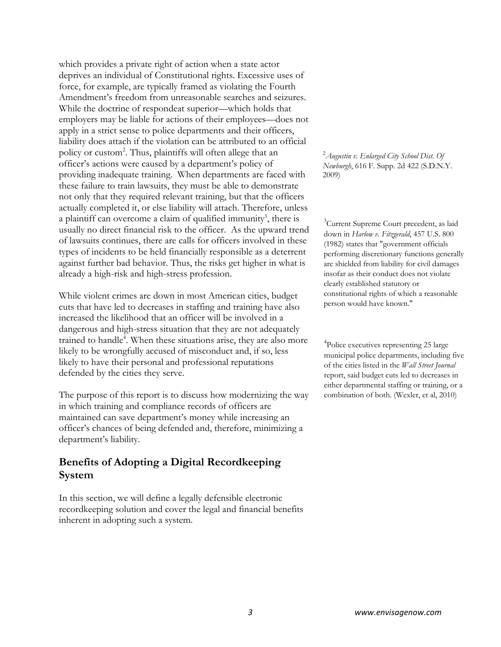which provides a private right of action when a state actor deprives an individual of Constitutional rights. Excessive uses of force, for example, are typically framed as violating the Fourth Amendment's freedom from unreasonable searches and seizures. While the doctrine of respondeat superior—which holds that employers may be liable for actions of their employees—does not apply in a strict sense to police departments and their officers, liability does attach if the violation can be attributed to an official policy or custom<sup>2</sup>. Thus, plaintiffs will often allege that an officer's actions were caused by a department's policy of providing inadequate training. When departments are faced with these failure to train lawsuits, they must be able to demonstrate not only that they required relevant training, but that the officers actually completed it, or else liability will attach. Therefore, unless a plaintiff can overcome a claim of qualified immunity<sup>3</sup>, there is usually no direct financial risk to the officer. As the upward trend of lawsuits continues, there are calls for officers involved in these types of incidents to be held financially responsible as a deterrent against further bad behavior. Thus, the risks get higher in what is already a high-risk and high-stress profession.

While violent crimes are down in most American cities, budget cuts that have led to decreases in staffing and training have also increased the likelihood that an officer will be involved in a dangerous and high-stress situation that they are not adequately trained to handle<sup>4</sup>. When these situations arise, they are also more likely to be wrongfully accused of misconduct and, if so, less likely to have their personal and professional reputations defended by the cities they serve.

The purpose of this report is to discuss how modernizing the way in which training and compliance records of officers are maintained can save department's money while increasing an officer's chances of being defended and, therefore, minimizing a department's liability.

## **Benefits of Adopting a Digital Recordkeeping System**

In this section, we will define a legally defensible electronic recordkeeping solution and cover the legal and financial benefits inherent in adopting such a system.

2 *Augustin v. Enlarged City School Dist. Of Newburgh*, 616 F. Supp. 2d 422 (S.D.N.Y. 2009)

<sup>3</sup>Current Supreme Court precedent, as laid down in *Harlow v. Fitzgerald*, 457 U.S. 800 (1982) states that "government officials performing discretionary functions generally are shielded from liability for civil damages insofar as their conduct does not violate clearly established statutory or constitutional rights of which a reasonable person would have known."

4 Police executives representing 25 large municipal police departments, including five of the cities listed in the *Wall Street Journal* report, said budget cuts led to decreases in either departmental staffing or training, or a combination of both. (Wexler, et al, 2010)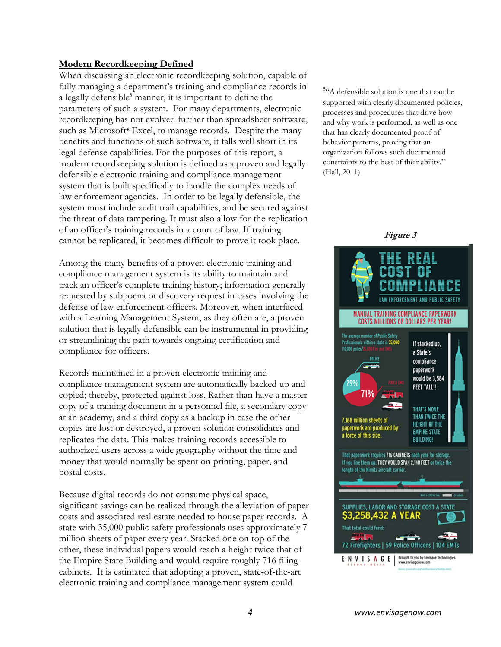#### **Modern Recordkeeping Defined**

When discussing an electronic recordkeeping solution, capable of fully managing a department's training and compliance records in a legally defensible<sup>5</sup> manner, it is important to define the parameters of such a system. For many departments, electronic recordkeeping has not evolved further than spreadsheet software, such as Microsoft® Excel, to manage records. Despite the many benefits and functions of such software, it falls well short in its legal defense capabilities. For the purposes of this report, a modern recordkeeping solution is defined as a proven and legally defensible electronic training and compliance management system that is built specifically to handle the complex needs of law enforcement agencies. In order to be legally defensible, the system must include audit trail capabilities, and be secured against the threat of data tampering. It must also allow for the replication of an officer's training records in a court of law. If training cannot be replicated, it becomes difficult to prove it took place.

Among the many benefits of a proven electronic training and compliance management system is its ability to maintain and track an officer's complete training history; information generally requested by subpoena or discovery request in cases involving the defense of law enforcement officers. Moreover, when interfaced with a Learning Management System, as they often are, a proven solution that is legally defensible can be instrumental in providing or streamlining the path towards ongoing certification and compliance for officers.

Records maintained in a proven electronic training and compliance management system are automatically backed up and copied; thereby, protected against loss. Rather than have a master copy of a training document in a personnel file, a secondary copy at an academy, and a third copy as a backup in case the other copies are lost or destroyed, a proven solution consolidates and replicates the data. This makes training records accessible to authorized users across a wide geography without the time and money that would normally be spent on printing, paper, and postal costs.

Because digital records do not consume physical space, significant savings can be realized through the alleviation of paper costs and associated real estate needed to house paper records. A state with 35,000 public safety professionals uses approximately 7 million sheets of paper every year. Stacked one on top of the other, these individual papers would reach a height twice that of the Empire State Building and would require roughly 716 filing cabinets. It is estimated that adopting a proven, state-of-the-art electronic training and compliance management system could

<sup>5</sup><sup>c</sup>A defensible solution is one that can be supported with clearly documented policies, processes and procedures that drive how and why work is performed, as well as one that has clearly documented proof of behavior patterns, proving that an organization follows such documented constraints to the best of their ability." (Hall, 2011)

**Figure 3**

# **MANUAL TRAINING COMPLIANCE PAPERWORK COSTS MILLIONS OF DOLLARS PER YEAR!** The average number of Public Safety Professionals within a state is 35,000<br>Professionals within a state is 35,000<br>(10,000 police/25,000 Fire and EMS) If stacked up, a State's compliance paperwork would be 3,584 **FEET TALL!! THAT'S MORE** THAN TWICE THE 7.168 million sheets of **HEIGHT OF THE** paperwork are produced by<br>a force of this size. **EMPIRE STATE BUILDING!** That paperwork requires 716 CABINETS each year for storage. If you line them up, THEY WOULD SPAN 2,148 FEET or twice the length of the Nimitz aircraft carrier. SUPPLIES, LABOR AND STORAGE COST A STATE **\$3,258,432 A YEAR** That total could fund: نماء 72 Firefighters | 59 Police Officers | 104 EMTs **Brought to you by Envisage Technologies**<br>www.envisagenow.com ENVISAGEI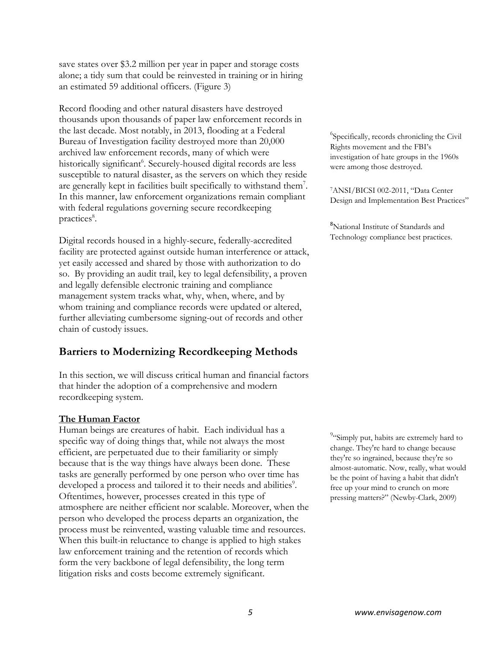save states over \$3.2 million per year in paper and storage costs alone; a tidy sum that could be reinvested in training or in hiring an estimated 59 additional officers. (Figure 3)

Record flooding and other natural disasters have destroyed thousands upon thousands of paper law enforcement records in the last decade. Most notably, in 2013, flooding at a Federal Bureau of Investigation facility destroyed more than 20,000 archived law enforcement records, many of which were historically significant<sup>6</sup>. Securely-housed digital records are less susceptible to natural disaster, as the servers on which they reside are generally kept in facilities built specifically to withstand them<sup>7</sup>. In this manner, law enforcement organizations remain compliant with federal regulations governing secure recordkeeping practices<sup>8</sup>.

Digital records housed in a highly-secure, federally-accredited facility are protected against outside human interference or attack, yet easily accessed and shared by those with authorization to do so. By providing an audit trail, key to legal defensibility, a proven and legally defensible electronic training and compliance management system tracks what, why, when, where, and by whom training and compliance records were updated or altered, further alleviating cumbersome signing-out of records and other chain of custody issues.

# **Barriers to Modernizing Recordkeeping Methods**

In this section, we will discuss critical human and financial factors that hinder the adoption of a comprehensive and modern recordkeeping system.

#### **The Human Factor**

Human beings are creatures of habit. Each individual has a specific way of doing things that, while not always the most efficient, are perpetuated due to their familiarity or simply because that is the way things have always been done. These tasks are generally performed by one person who over time has developed a process and tailored it to their needs and abilities<sup>9</sup>. Oftentimes, however, processes created in this type of atmosphere are neither efficient nor scalable. Moreover, when the person who developed the process departs an organization, the process must be reinvented, wasting valuable time and resources. When this built-in reluctance to change is applied to high stakes law enforcement training and the retention of records which form the very backbone of legal defensibility, the long term litigation risks and costs become extremely significant.

6 Specifically, records chronicling the Civil Rights movement and the FBI's investigation of hate groups in the 1960s were among those destroyed.

7ANSI/BICSI 002-2011, "Data Center Design and Implementation Best Practices"

8 National Institute of Standards and Technology compliance best practices. 

<sup>9</sup>"Simply put, habits are extremely hard to change. They're hard to change because they're so ingrained, because they're so almost-automatic. Now, really, what would be the point of having a habit that didn't free up your mind to crunch on more pressing matters?" (Newby-Clark, 2009)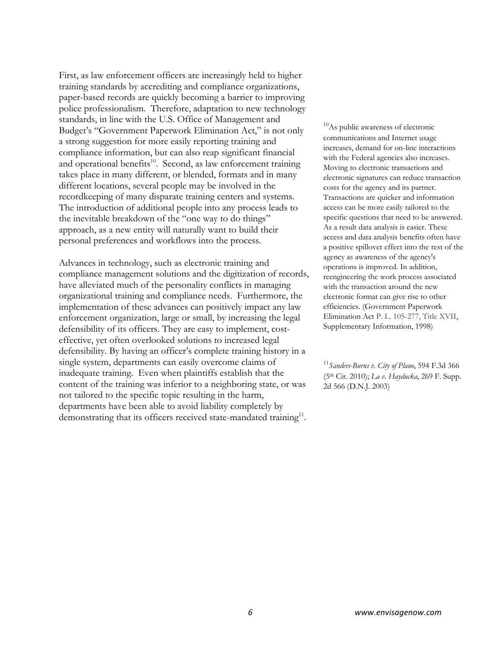First, as law enforcement officers are increasingly held to higher training standards by accrediting and compliance organizations, paper-based records are quickly becoming a barrier to improving police professionalism. Therefore, adaptation to new technology standards, in line with the U.S. Office of Management and Budget's "Government Paperwork Elimination Act," is not only a strong suggestion for more easily reporting training and compliance information, but can also reap significant financial and operational benefits<sup>10</sup>. Second, as law enforcement training takes place in many different, or blended, formats and in many different locations, several people may be involved in the recordkeeping of many disparate training centers and systems. The introduction of additional people into any process leads to the inevitable breakdown of the "one way to do things" approach, as a new entity will naturally want to build their personal preferences and workflows into the process.

Advances in technology, such as electronic training and compliance management solutions and the digitization of records, have alleviated much of the personality conflicts in managing organizational training and compliance needs. Furthermore, the implementation of these advances can positively impact any law enforcement organization, large or small, by increasing the legal defensibility of its officers. They are easy to implement, costeffective, yet often overlooked solutions to increased legal defensibility. By having an officer's complete training history in a single system, departments can easily overcome claims of inadequate training. Even when plaintiffs establish that the content of the training was inferior to a neighboring state, or was not tailored to the specific topic resulting in the harm, departments have been able to avoid liability completely by demonstrating that its officers received state-mandated training<sup>11</sup>.

<sup>10</sup>As public awareness of electronic communications and Internet usage increases, demand for on-line interactions with the Federal agencies also increases. Moving to electronic transactions and electronic signatures can reduce transaction costs for the agency and its partner. Transactions are quicker and information access can be more easily tailored to the specific questions that need to be answered. As a result data analysis is easier. These access and data analysis benefits often have a positive spillover effect into the rest of the agency as awareness of the agency's operations is improved. In addition, reengineering the work process associated with the transaction around the new electronic format can give rise to other efficiencies. (Government Paperwork Elimination Act P. L. 105-277, Title XVII, Supplementary Information, 1998)

<sup>11</sup>*Sanders-Burns v. City of Plano*, 594 F.3d 366 (5th Cir. 2010); *La v. Hayducka*, 269 F. Supp. 2d 566 (D.N.J. 2003)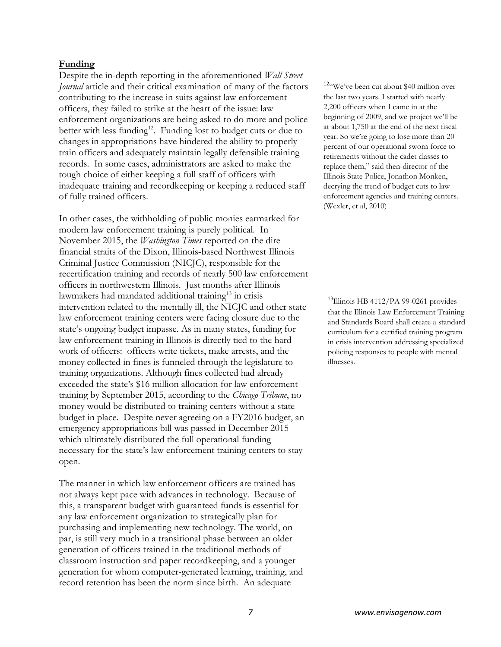#### **Funding**

Despite the in-depth reporting in the aforementioned *Wall Street Journal* article and their critical examination of many of the factors contributing to the increase in suits against law enforcement officers, they failed to strike at the heart of the issue: law enforcement organizations are being asked to do more and police better with less funding<sup>12</sup>. Funding lost to budget cuts or due to changes in appropriations have hindered the ability to properly train officers and adequately maintain legally defensible training records. In some cases, administrators are asked to make the tough choice of either keeping a full staff of officers with inadequate training and recordkeeping or keeping a reduced staff of fully trained officers.

In other cases, the withholding of public monies earmarked for modern law enforcement training is purely political. In November 2015, the *Washington Times* reported on the dire financial straits of the Dixon, Illinois-based Northwest Illinois Criminal Justice Commission (NICJC), responsible for the recertification training and records of nearly 500 law enforcement officers in northwestern Illinois. Just months after Illinois lawmakers had mandated additional training<sup>13</sup> in crisis intervention related to the mentally ill, the NICJC and other state law enforcement training centers were facing closure due to the state's ongoing budget impasse. As in many states, funding for law enforcement training in Illinois is directly tied to the hard work of officers: officers write tickets, make arrests, and the money collected in fines is funneled through the legislature to training organizations. Although fines collected had already exceeded the state's \$16 million allocation for law enforcement training by September 2015, according to the *Chicago Tribune*, no money would be distributed to training centers without a state budget in place. Despite never agreeing on a FY2016 budget, an emergency appropriations bill was passed in December 2015 which ultimately distributed the full operational funding necessary for the state's law enforcement training centers to stay open.

The manner in which law enforcement officers are trained has not always kept pace with advances in technology. Because of this, a transparent budget with guaranteed funds is essential for any law enforcement organization to strategically plan for purchasing and implementing new technology. The world, on par, is still very much in a transitional phase between an older generation of officers trained in the traditional methods of classroom instruction and paper recordkeeping, and a younger generation for whom computer-generated learning, training, and record retention has been the norm since birth. An adequate

12<sup>c</sup>We've been cut about \$40 million over the last two years. I started with nearly 2,200 officers when I came in at the beginning of 2009, and we project we'll be at about 1,750 at the end of the next fiscal year. So we're going to lose more than 20 percent of our operational sworn force to retirements without the cadet classes to replace them," said then-director of the Illinois State Police, Jonathon Monken, decrying the trend of budget cuts to law enforcement agencies and training centers. (Wexler, et al, 2010)

<sup>13</sup>Illinois HB 4112/PA 99-0261 provides that the Illinois Law Enforcement Training and Standards Board shall create a standard curriculum for a certified training program in crisis intervention addressing specialized policing responses to people with mental illnesses.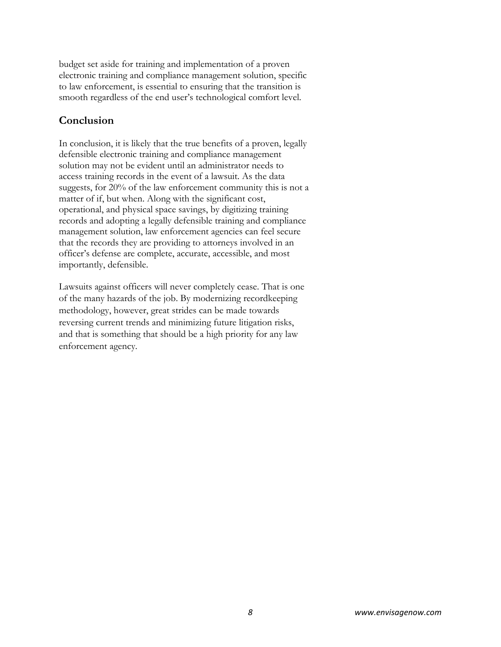budget set aside for training and implementation of a proven electronic training and compliance management solution, specific to law enforcement, is essential to ensuring that the transition is smooth regardless of the end user's technological comfort level.

# **Conclusion**

In conclusion, it is likely that the true benefits of a proven, legally defensible electronic training and compliance management solution may not be evident until an administrator needs to access training records in the event of a lawsuit. As the data suggests, for 20% of the law enforcement community this is not a matter of if, but when. Along with the significant cost, operational, and physical space savings, by digitizing training records and adopting a legally defensible training and compliance management solution, law enforcement agencies can feel secure that the records they are providing to attorneys involved in an officer's defense are complete, accurate, accessible, and most importantly, defensible.

Lawsuits against officers will never completely cease. That is one of the many hazards of the job. By modernizing recordkeeping methodology, however, great strides can be made towards reversing current trends and minimizing future litigation risks, and that is something that should be a high priority for any law enforcement agency.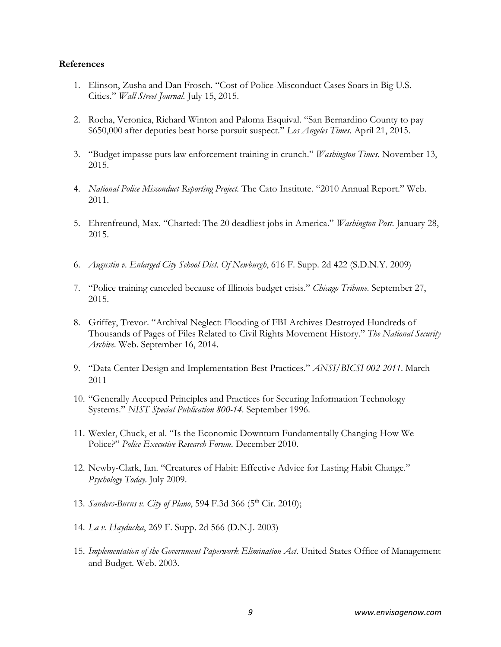#### **References**

- 1. Elinson, Zusha and Dan Frosch. "Cost of Police-Misconduct Cases Soars in Big U.S. Cities." *Wall Street Journal.* July 15, 2015.
- 2. Rocha, Veronica, Richard Winton and Paloma Esquival. "San Bernardino County to pay \$650,000 after deputies beat horse pursuit suspect." *Los Angeles Times*. April 21, 2015.
- 3. "Budget impasse puts law enforcement training in crunch." *Washington Times*. November 13, 2015.
- 4. *National Police Misconduct Reporting Project.* The Cato Institute. "2010 Annual Report." Web. 2011.
- 5. Ehrenfreund, Max. "Charted: The 20 deadliest jobs in America." *Washington Post*. January 28, 2015.
- 6. *Augustin v. Enlarged City School Dist. Of Newburgh*, 616 F. Supp. 2d 422 (S.D.N.Y. 2009)
- 7. "Police training canceled because of Illinois budget crisis." *Chicago Tribune*. September 27, 2015.
- 8. Griffey, Trevor. "Archival Neglect: Flooding of FBI Archives Destroyed Hundreds of Thousands of Pages of Files Related to Civil Rights Movement History." *The National Security Archive*. Web. September 16, 2014.
- 9. "Data Center Design and Implementation Best Practices." *ANSI/BICSI 002-2011*. March 2011
- 10. "Generally Accepted Principles and Practices for Securing Information Technology Systems." *NIST Special Publication 800-14*. September 1996.
- 11. Wexler, Chuck, et al. "Is the Economic Downturn Fundamentally Changing How We Police?" *Police Executive Research Forum*. December 2010.
- 12. Newby-Clark, Ian. "Creatures of Habit: Effective Advice for Lasting Habit Change." *Psychology Today*. July 2009.
- 13. *Sanders-Burns v. City of Plano*, 594 F.3d 366 (5<sup>th</sup> Cir. 2010);
- 14. *La v. Hayducka*, 269 F. Supp. 2d 566 (D.N.J. 2003)
- 15. *Implementation of the Government Paperwork Elimination Act*. United States Office of Management and Budget. Web. 2003.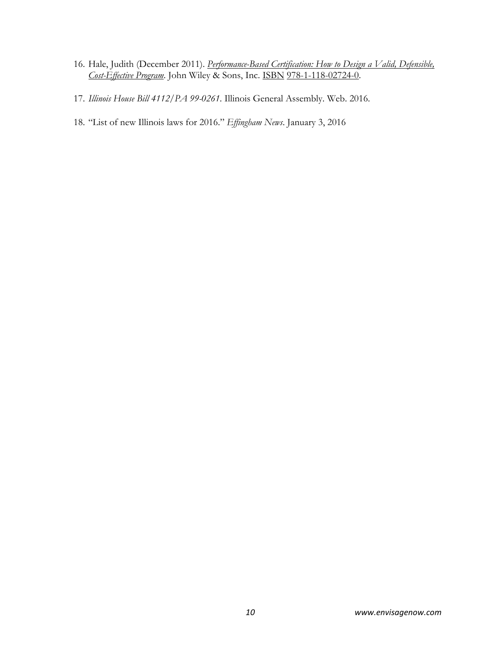- 16. Hale, Judith (December 2011). *Performance-Based Certification: How to Design a Valid, Defensible, Cost-Effective Program*. John Wiley & Sons, Inc. ISBN 978-1-118-02724-0.
- 17. *Illinois House Bill 4112/PA 99-0261*. Illinois General Assembly. Web. 2016.
- 18. "List of new Illinois laws for 2016." *Effingham News*. January 3, 2016